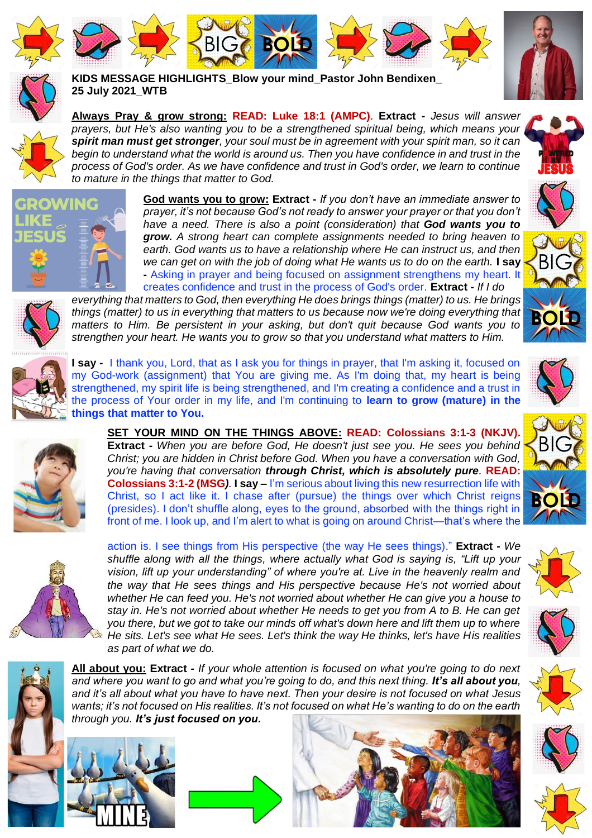







**KIDS MESSAGE HIGHLIGHTS\_Blow your mind\_Pastor John Bendixen\_ 25 July 2021\_WTB**

**BIG <b>BOLD** 

**Always Pray & grow strong: READ: Luke 18:1 (AMPC)**. **Extract -** *Jesus will answer prayers, but He's also wanting you to be a strengthened spiritual being, which means your spirit man must get stronger, your soul must be in agreement with your spirit man, so it can begin to understand what the world is around us. Then you have confidence in and trust in the process of God's order. As we have confidence and trust in God's order, we learn to continue to mature in the things that matter to God.*



**God wants you to grow: Extract -** *If you don't have an immediate answer to prayer, it's not because God's not ready to answer your prayer or that you don't have a need. There is also a point (consideration) that God wants you to grow. A strong heart can complete assignments needed to bring heaven to earth. God wants us to have a relationship where He can instruct us, and then we can get on with the job of doing what He wants us to do on the earth.* **I say -** Asking in prayer and being focused on assignment strengthens my heart. It creates confidence and trust in the process of God's order. **Extract -** *If I do* 

*everything that matters to God, then everything He does brings things (matter) to us. He brings things (matter) to us in everything that matters to us because now we're doing everything that matters to Him. Be persistent in your asking, but don't quit because God wants you to strengthen your heart. He wants you to grow so that you understand what matters to Him.*



BIG



**I say -** I thank you, Lord, that as I ask you for things in prayer, that I'm asking it, focused on my God-work (assignment) that You are giving me. As I'm doing that, my heart is being strengthened, my spirit life is being strengthened, and I'm creating a confidence and a trust in the process of Your order in my life, and I'm continuing to **learn to grow (mature) in the things that matter to You.**



**SET YOUR MIND ON THE THINGS ABOVE: READ: Colossians 3:1-3 (NKJV). Extract -** *When you are before God, He doesn't just see you. He sees you behind Christ; you are hidden in Christ before God. When you have a conversation with God, you're having that conversation through Christ, which is absolutely pure.* **READ: Colossians 3:1-2 (MSG***).* **I say –** I'm serious about living this new resurrection life with Christ, so I act like it. I chase after (pursue) the things over which Christ reigns (presides). I don't shuffle along, eyes to the ground, absorbed with the things right in front of me. I look up, and I'm alert to what is going on around Christ—that's where the



action is. I see things from His perspective (the way He sees things)." **Extract -** *We shuffle along with all the things, where actually what God is saying is, "Lift up your vision, lift up your understanding" of where you're at. Live in the heavenly realm and the way that He sees things and His perspective because He's not worried about whether He can feed you. He's not worried about whether He can give you a house to stay in. He's not worried about whether He needs to get you from A to B. He can get you there, but we got to take our minds off what's down here and lift them up to where He sits. Let's see what He sees. Let's think the way He thinks, let's have His realities as part of what we do.*



**All about you: Extract** *- If your whole attention is focused on what you're going to do next and where you want to go and what you're going to do, and this next thing. It's all about you, and it's all about what you have to have next. Then your desire is not focused on what Jesus wants; it's not focused on His realities. It's not focused on what He's wanting to do on the earth through you. It's just focused on you.*